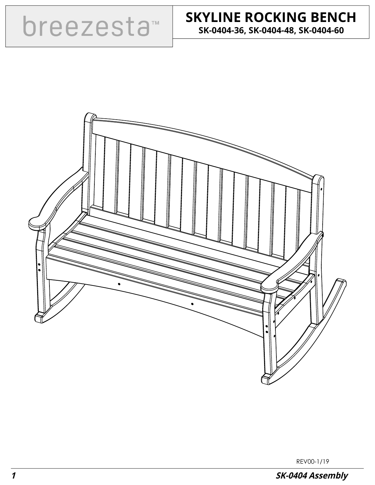

## **SKYLINE ROCKING BENCH SK-0404-36, SK-0404-48, SK-0404-60**



REV00-1/19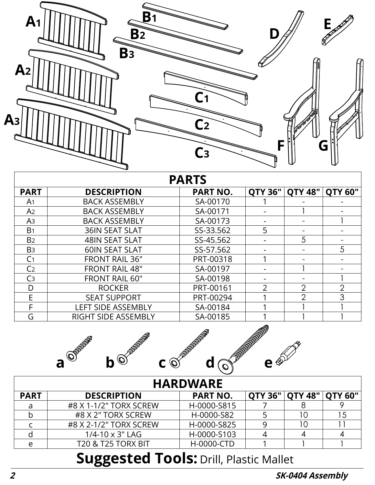

| <b>PARTS</b>   |                            |                 |                |                |                |  |  |  |
|----------------|----------------------------|-----------------|----------------|----------------|----------------|--|--|--|
| <b>PART</b>    | <b>DESCRIPTION</b>         | <b>PART NO.</b> | <b>QTY 36"</b> | <b>QTY 48"</b> | <b>OTY 60"</b> |  |  |  |
| A <sub>1</sub> | <b>BACK ASSEMBLY</b>       | SA-00170        |                |                |                |  |  |  |
| A2             | <b>BACK ASSEMBLY</b>       | SA-00171        |                |                |                |  |  |  |
| A <sub>3</sub> | <b>BACK ASSEMBLY</b>       | SA-00173        |                |                |                |  |  |  |
| B <sub>1</sub> | <b>36IN SEAT SLAT</b>      | SS-33.562       | 5              |                |                |  |  |  |
| B <sub>2</sub> | <b>48IN SEAT SLAT</b>      | SS-45.562       |                | 5              |                |  |  |  |
| B <sub>3</sub> | <b>60IN SEAT SLAT</b>      | SS-57.562       |                |                | 5              |  |  |  |
| C <sub>1</sub> | <b>FRONT RAIL 36"</b>      | PRT-00318       |                |                |                |  |  |  |
| C <sub>2</sub> | <b>FRONT RAIL 48"</b>      | SA-00197        |                |                |                |  |  |  |
| C <sub>3</sub> | <b>FRONT RAIL 60"</b>      | SA-00198        |                |                |                |  |  |  |
| D              | <b>ROCKER</b>              | PRT-00161       | $\overline{2}$ | $\overline{2}$ | $\overline{2}$ |  |  |  |
| E              | <b>SEAT SUPPORT</b>        | PRT-00294       |                | $\overline{2}$ | 3              |  |  |  |
| F              | <b>LEFT SIDE ASSEMBLY</b>  | SA-00184        |                |                |                |  |  |  |
| G              | <b>RIGHT SIDE ASSEMBLY</b> | SA-00185        |                |                |                |  |  |  |



| <b>HARDWARE</b> |                           |                 |  |                                    |  |  |  |  |  |
|-----------------|---------------------------|-----------------|--|------------------------------------|--|--|--|--|--|
| <b>PART</b>     | <b>DESCRIPTION</b>        | <b>PART NO.</b> |  | <b>QTY 36"   QTY 48"   QTY 60"</b> |  |  |  |  |  |
|                 | #8 X 1-1/2" TORX SCREW    | H-0000-S815     |  |                                    |  |  |  |  |  |
|                 | #8 X 2" TORX SCREW        | H-0000-S82      |  |                                    |  |  |  |  |  |
|                 | #8 X 2-1/2" TORX SCREW    | H-0000-S825     |  |                                    |  |  |  |  |  |
|                 | $1/4 - 10 \times 3$ " LAG | H-0000-S103     |  |                                    |  |  |  |  |  |
|                 | T20 & T25 TORX BIT        | H-0000-CTD      |  |                                    |  |  |  |  |  |

## **Suggested Tools: Drill, Plastic Mallet**

**2 SK-0404 Assembly**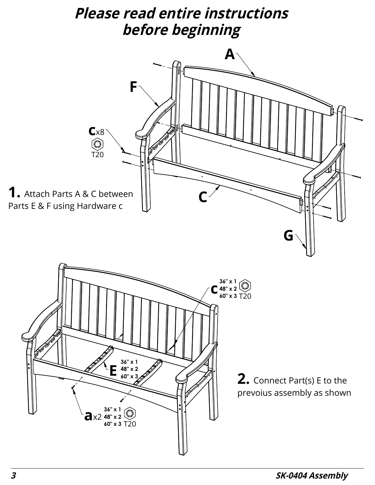## **Please read entire instructions before beginning**